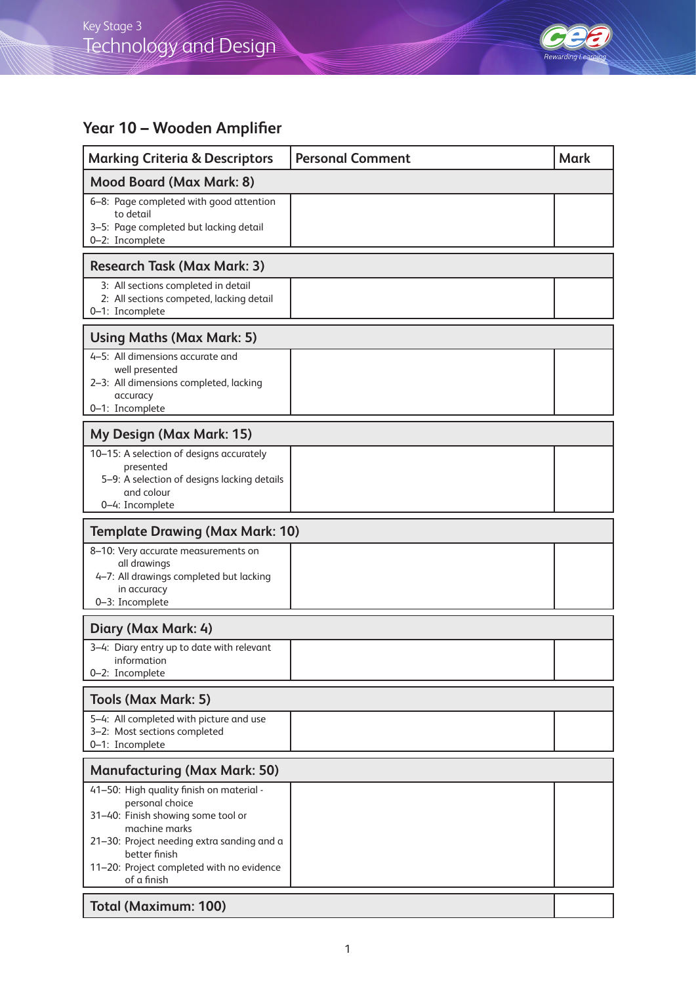

## **Year 10 – Wooden Amplifier**

| <b>Marking Criteria &amp; Descriptors</b>                                                                                                                                                                                                     | <b>Personal Comment</b> | <b>Mark</b> |  |  |  |  |
|-----------------------------------------------------------------------------------------------------------------------------------------------------------------------------------------------------------------------------------------------|-------------------------|-------------|--|--|--|--|
| <b>Mood Board (Max Mark: 8)</b>                                                                                                                                                                                                               |                         |             |  |  |  |  |
| 6-8: Page completed with good attention<br>to detail<br>3-5: Page completed but lacking detail<br>0-2: Incomplete                                                                                                                             |                         |             |  |  |  |  |
| <b>Research Task (Max Mark: 3)</b>                                                                                                                                                                                                            |                         |             |  |  |  |  |
| 3: All sections completed in detail<br>2: All sections competed, lacking detail<br>0-1: Incomplete                                                                                                                                            |                         |             |  |  |  |  |
| <b>Using Maths (Max Mark: 5)</b>                                                                                                                                                                                                              |                         |             |  |  |  |  |
| 4-5: All dimensions accurate and<br>well presented<br>2-3: All dimensions completed, lacking<br>accuracy<br>0-1: Incomplete                                                                                                                   |                         |             |  |  |  |  |
| My Design (Max Mark: 15)                                                                                                                                                                                                                      |                         |             |  |  |  |  |
| 10-15: A selection of designs accurately<br>presented<br>5-9: A selection of designs lacking details<br>and colour<br>0-4: Incomplete                                                                                                         |                         |             |  |  |  |  |
| <b>Template Drawing (Max Mark: 10)</b>                                                                                                                                                                                                        |                         |             |  |  |  |  |
| 8-10: Very accurate measurements on<br>all drawings<br>4-7: All drawings completed but lacking<br>in accuracy<br>0-3: Incomplete                                                                                                              |                         |             |  |  |  |  |
| Diary (Max Mark: 4)                                                                                                                                                                                                                           |                         |             |  |  |  |  |
| 3-4: Diary entry up to date with relevant<br>information<br>0-2: Incomplete                                                                                                                                                                   |                         |             |  |  |  |  |
| <b>Tools (Max Mark: 5)</b>                                                                                                                                                                                                                    |                         |             |  |  |  |  |
| 5-4: All completed with picture and use<br>3-2: Most sections completed<br>0-1: Incomplete                                                                                                                                                    |                         |             |  |  |  |  |
| <b>Manufacturing (Max Mark: 50)</b>                                                                                                                                                                                                           |                         |             |  |  |  |  |
| 41-50: High quality finish on material -<br>personal choice<br>31-40: Finish showing some tool or<br>machine marks<br>21-30: Project needing extra sanding and a<br>better finish<br>11-20: Project completed with no evidence<br>of a finish |                         |             |  |  |  |  |
| <b>Total (Maximum: 100)</b>                                                                                                                                                                                                                   |                         |             |  |  |  |  |